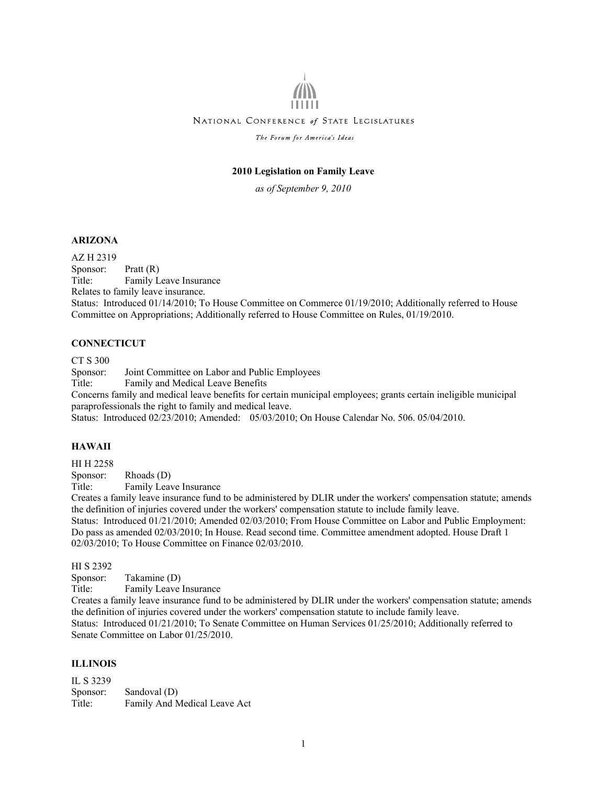# NATIONAL CONFERENCE of STATE LEGISLATURES

The Forum for America's Ideas

# **2010 Legislation on Family Leave**

*as of September 9, 2010* 

#### **ARIZONA**

AZ H 2319 Sponsor: Pratt (R) Title: Family Leave Insurance Relates to family leave insurance. Status: Introduced 01/14/2010; To House Committee on Commerce 01/19/2010; Additionally referred to House Committee on Appropriations; Additionally referred to House Committee on Rules, 01/19/2010.

#### **CONNECTICUT**

CT S 300

Sponsor: Joint Committee on Labor and Public Employees Title: Family and Medical Leave Benefits Concerns family and medical leave benefits for certain municipal employees; grants certain ineligible municipal paraprofessionals the right to family and medical leave. Status: Introduced 02/23/2010; Amended: 05/03/2010; On House Calendar No. 506. 05/04/2010.

#### **HAWAII**

HI H 2258

Sponsor: Rhoads (D)

Title: Family Leave Insurance

Creates a family leave insurance fund to be administered by DLIR under the workers' compensation statute; amends the definition of injuries covered under the workers' compensation statute to include family leave. Status: Introduced 01/21/2010; Amended 02/03/2010; From House Committee on Labor and Public Employment: Do pass as amended 02/03/2010; In House. Read second time. Committee amendment adopted. House Draft 1 02/03/2010; To House Committee on Finance 02/03/2010.

HI S 2392

Sponsor: Takamine (D)

Title: Family Leave Insurance

Creates a family leave insurance fund to be administered by DLIR under the workers' compensation statute; amends the definition of injuries covered under the workers' compensation statute to include family leave. Status: Introduced 01/21/2010; To Senate Committee on Human Services 01/25/2010; Additionally referred to Senate Committee on Labor 01/25/2010.

#### **ILLINOIS**

IL S 3239 Sponsor: Sandoval (D) Title: Family And Medical Leave Act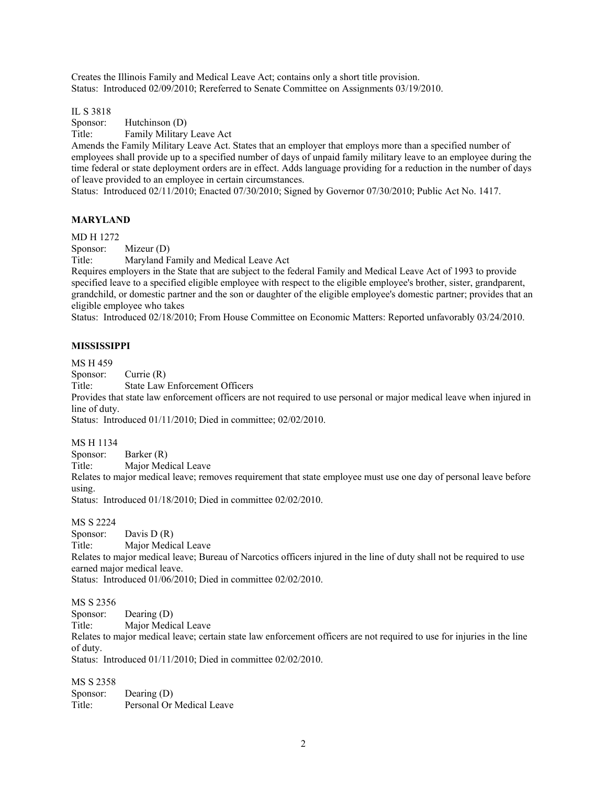Creates the Illinois Family and Medical Leave Act; contains only a short title provision. Status: Introduced 02/09/2010; Rereferred to Senate Committee on Assignments 03/19/2010.

IL S 3818

Sponsor: Hutchinson (D)

Title: Family Military Leave Act

Amends the Family Military Leave Act. States that an employer that employs more than a specified number of employees shall provide up to a specified number of days of unpaid family military leave to an employee during the time federal or state deployment orders are in effect. Adds language providing for a reduction in the number of days of leave provided to an employee in certain circumstances.

Status: Introduced 02/11/2010; Enacted 07/30/2010; Signed by Governor 07/30/2010; Public Act No. 1417.

## **MARYLAND**

MD H 1272

Sponsor: Mizeur (D)

Title: Maryland Family and Medical Leave Act

Requires employers in the State that are subject to the federal Family and Medical Leave Act of 1993 to provide specified leave to a specified eligible employee with respect to the eligible employee's brother, sister, grandparent, grandchild, or domestic partner and the son or daughter of the eligible employee's domestic partner; provides that an eligible employee who takes

Status: Introduced 02/18/2010; From House Committee on Economic Matters: Reported unfavorably 03/24/2010.

# **MISSISSIPPI**

MS H 459

Sponsor: Currie (R)

Title: State Law Enforcement Officers

Provides that state law enforcement officers are not required to use personal or major medical leave when injured in line of duty.

Status: Introduced 01/11/2010; Died in committee; 02/02/2010.

MS H 1134

Sponsor: Barker (R)

Title: Major Medical Leave

Relates to major medical leave; removes requirement that state employee must use one day of personal leave before using.

Status: Introduced 01/18/2010; Died in committee 02/02/2010.

MS S 2224

Sponsor: Davis D (R) Title: Major Medical Leave Relates to major medical leave; Bureau of Narcotics officers injured in the line of duty shall not be required to use earned major medical leave.

Status: Introduced 01/06/2010; Died in committee 02/02/2010.

MS S 2356

Sponsor: Dearing (D)

Title: Major Medical Leave

Relates to major medical leave; certain state law enforcement officers are not required to use for injuries in the line of duty.

Status: Introduced 01/11/2010; Died in committee 02/02/2010.

MS S 2358

Sponsor: Dearing (D) Title: Personal Or Medical Leave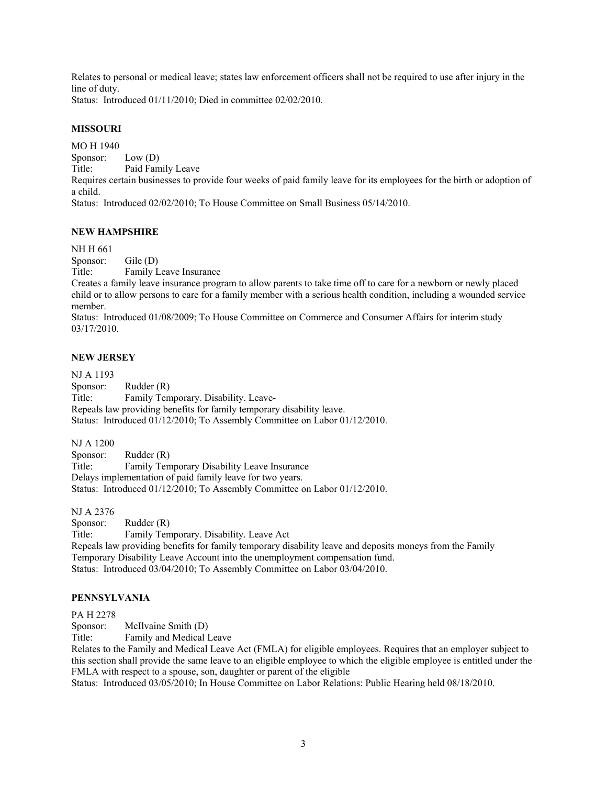Relates to personal or medical leave; states law enforcement officers shall not be required to use after injury in the line of duty.

Status: Introduced 01/11/2010; Died in committee 02/02/2010.

# **MISSOURI**

MO H 1940 Sponsor: Low (D) Title: Paid Family Leave Requires certain businesses to provide four weeks of paid family leave for its employees for the birth or adoption of a child. Status: Introduced 02/02/2010; To House Committee on Small Business 05/14/2010.

## **NEW HAMPSHIRE**

NH H 661

Sponsor: Gile (D) Title: Family Leave Insurance

Creates a family leave insurance program to allow parents to take time off to care for a newborn or newly placed child or to allow persons to care for a family member with a serious health condition, including a wounded service member.

Status: Introduced 01/08/2009; To House Committee on Commerce and Consumer Affairs for interim study 03/17/2010.

## **NEW JERSEY**

NJ A 1193 Sponsor: Rudder (R) Title: Family Temporary. Disability. Leave-Repeals law providing benefits for family temporary disability leave. Status: Introduced 01/12/2010; To Assembly Committee on Labor 01/12/2010.

NJ A 1200

Sponsor: Rudder (R) Title: Family Temporary Disability Leave Insurance Delays implementation of paid family leave for two years. Status: Introduced 01/12/2010; To Assembly Committee on Labor 01/12/2010.

NJ A 2376

Sponsor: Rudder (R) Title: Family Temporary. Disability. Leave Act Repeals law providing benefits for family temporary disability leave and deposits moneys from the Family Temporary Disability Leave Account into the unemployment compensation fund. Status: Introduced 03/04/2010; To Assembly Committee on Labor 03/04/2010.

## **PENNSYLVANIA**

#### PA H 2278

Sponsor: McIlvaine Smith (D)

Title: Family and Medical Leave

Relates to the Family and Medical Leave Act (FMLA) for eligible employees. Requires that an employer subject to this section shall provide the same leave to an eligible employee to which the eligible employee is entitled under the FMLA with respect to a spouse, son, daughter or parent of the eligible

Status: Introduced 03/05/2010; In House Committee on Labor Relations: Public Hearing held 08/18/2010.